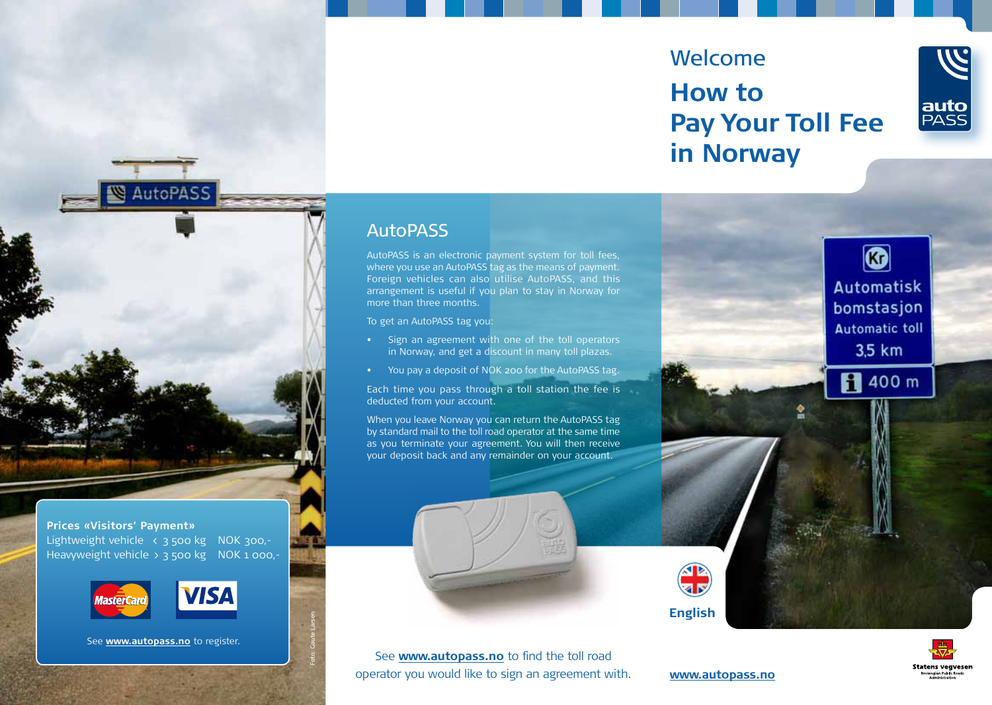# Welcome **How to Pay Your Toll Fee in Norway**



 $\bullet$ 

**Automatisk** bomstasjon **Automatic toll** 3,5 km

**R** 400 m

# **AutoPASS**

AutoPASS is an electronic payment system for toll fees, where you use an AutoPASS tag as the means of payment. Foreign vehicles can also utilise AutoPASS, and this arrangement is useful if you plan to stay in Norway for more than three months.

To get an AutoPASS tag you:

- • Sign an agreement with one of the toll operators in Norway, and get a discount in many toll plazas.
- You pay a deposit of NOK 200 for the AutoPASS tag.

Each time you pass through a toll station the fee is deducted from your account.

When you leave Norway you can return the AutoPASS tag by standard mail to the toll road operator at the same time as you terminate your agreement. You will then receive your deposit back and any remainder on your account.



**English**

**Statens vegvesen** 



**www.autopass.no www.autopass.no**



**AutoPASS** 

# **Prices «Visitors' Payment»**

Lightweight vehicle < 3 500 kg NOK 300,-Heavyweight vehicle  $\overline{2}$  3 500 kg NOK 1 000,-





Foto: Gaute Larsen

See **www.autopass.no** to register.